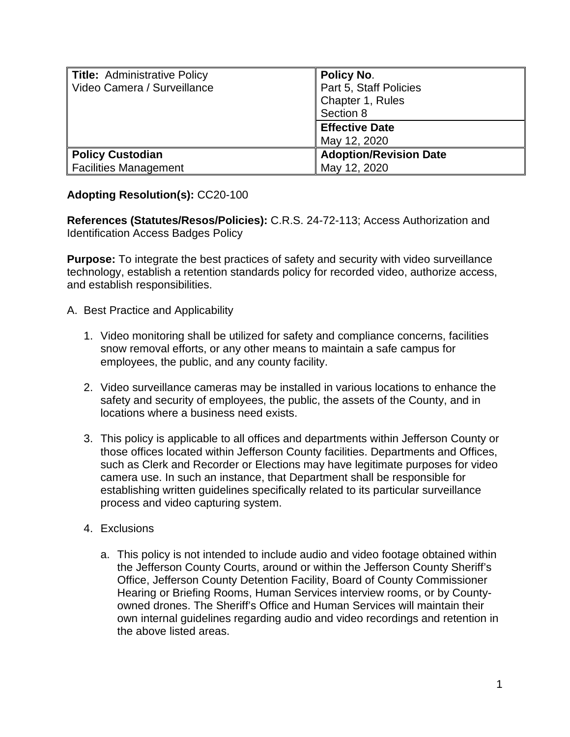| <b>Title: Administrative Policy</b><br>Video Camera / Surveillance | <b>Policy No.</b><br>Part 5, Staff Policies<br>Chapter 1, Rules<br>Section 8 |
|--------------------------------------------------------------------|------------------------------------------------------------------------------|
|                                                                    | <b>Effective Date</b><br>May 12, 2020                                        |
| <b>Policy Custodian</b><br><b>Facilities Management</b>            | <b>Adoption/Revision Date</b><br>May 12, 2020                                |

## **Adopting Resolution(s):** CC20-100

**References (Statutes/Resos/Policies):** C.R.S. 24-72-113; Access Authorization and Identification Access Badges Policy

**Purpose:** To integrate the best practices of safety and security with video surveillance technology, establish a retention standards policy for recorded video, authorize access, and establish responsibilities.

- A. Best Practice and Applicability
	- 1. Video monitoring shall be utilized for safety and compliance concerns, facilities snow removal efforts, or any other means to maintain a safe campus for employees, the public, and any county facility.
	- 2. Video surveillance cameras may be installed in various locations to enhance the safety and security of employees, the public, the assets of the County, and in locations where a business need exists.
	- 3. This policy is applicable to all offices and departments within Jefferson County or those offices located within Jefferson County facilities. Departments and Offices, such as Clerk and Recorder or Elections may have legitimate purposes for video camera use. In such an instance, that Department shall be responsible for establishing written guidelines specifically related to its particular surveillance process and video capturing system.
	- 4. Exclusions
		- a. This policy is not intended to include audio and video footage obtained within the Jefferson County Courts, around or within the Jefferson County Sheriff's Office, Jefferson County Detention Facility, Board of County Commissioner Hearing or Briefing Rooms, Human Services interview rooms, or by Countyowned drones. The Sheriff's Office and Human Services will maintain their own internal guidelines regarding audio and video recordings and retention in the above listed areas.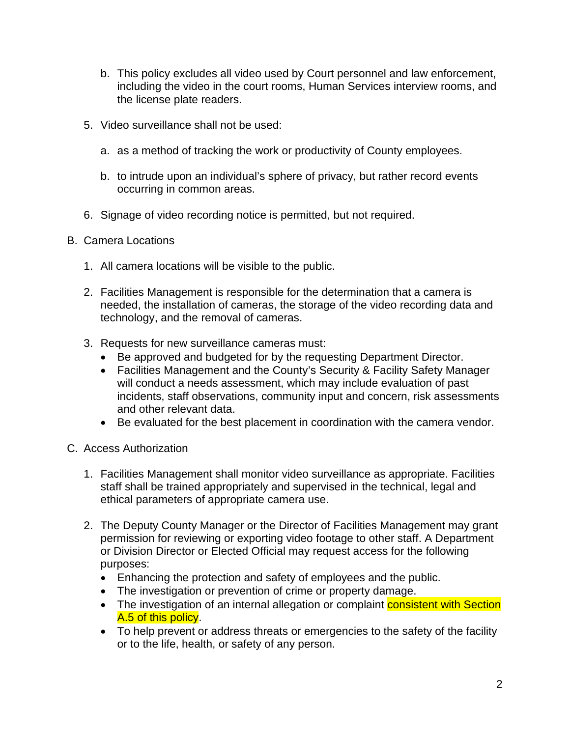- b. This policy excludes all video used by Court personnel and law enforcement, including the video in the court rooms, Human Services interview rooms, and the license plate readers.
- 5. Video surveillance shall not be used:
	- a. as a method of tracking the work or productivity of County employees.
	- b. to intrude upon an individual's sphere of privacy, but rather record events occurring in common areas.
- 6. Signage of video recording notice is permitted, but not required.
- B. Camera Locations
	- 1. All camera locations will be visible to the public.
	- 2. Facilities Management is responsible for the determination that a camera is needed, the installation of cameras, the storage of the video recording data and technology, and the removal of cameras.
	- 3. Requests for new surveillance cameras must:
		- Be approved and budgeted for by the requesting Department Director.
		- Facilities Management and the County's Security & Facility Safety Manager will conduct a needs assessment, which may include evaluation of past incidents, staff observations, community input and concern, risk assessments and other relevant data.
		- Be evaluated for the best placement in coordination with the camera vendor.
- C. Access Authorization
	- 1. Facilities Management shall monitor video surveillance as appropriate. Facilities staff shall be trained appropriately and supervised in the technical, legal and ethical parameters of appropriate camera use.
	- 2. The Deputy County Manager or the Director of Facilities Management may grant permission for reviewing or exporting video footage to other staff. A Department or Division Director or Elected Official may request access for the following purposes:
		- Enhancing the protection and safety of employees and the public.
		- The investigation or prevention of crime or property damage.
		- The investigation of an internal allegation or complaint **consistent with Section** A.5 of this policy.
		- To help prevent or address threats or emergencies to the safety of the facility or to the life, health, or safety of any person.